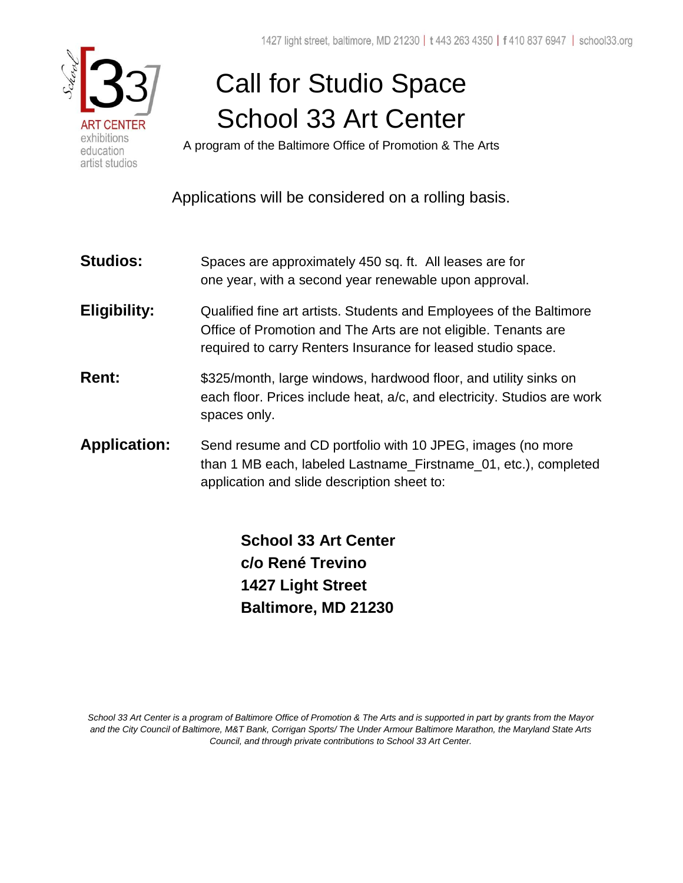

# Call for Studio Space School 33 Art Center

A program of the Baltimore Office of Promotion & The Arts

Applications will be considered on a rolling basis.

- **Studios:** Spaces are approximately 450 sq. ft. All leases are for one year, with a second year renewable upon approval.
- **Eligibility:** Qualified fine art artists. Students and Employees of the Baltimore Office of Promotion and The Arts are not eligible. Tenants are required to carry Renters Insurance for leased studio space.
- **Rent:**  $$325/month, large windows, hardwood floor, and utility sinks on$  each floor. Prices include heat, a/c, and electricity. Studios are work spaces only.
- **Application:** Send resume and CD portfolio with 10 JPEG, images (no more than 1 MB each, labeled Lastname\_Firstname\_01, etc.), completed application and slide description sheet to:

 **School 33 Art Center c/o René Trevino 1427 Light Street Baltimore, MD 21230** 

*School 33 Art Center is a program of Baltimore Office of Promotion & The Arts and is supported in part by grants from the Mayor and the City Council of Baltimore, M&T Bank, Corrigan Sports/ The Under Armour Baltimore Marathon, the Maryland State Arts Council, and through private contributions to School 33 Art Center.*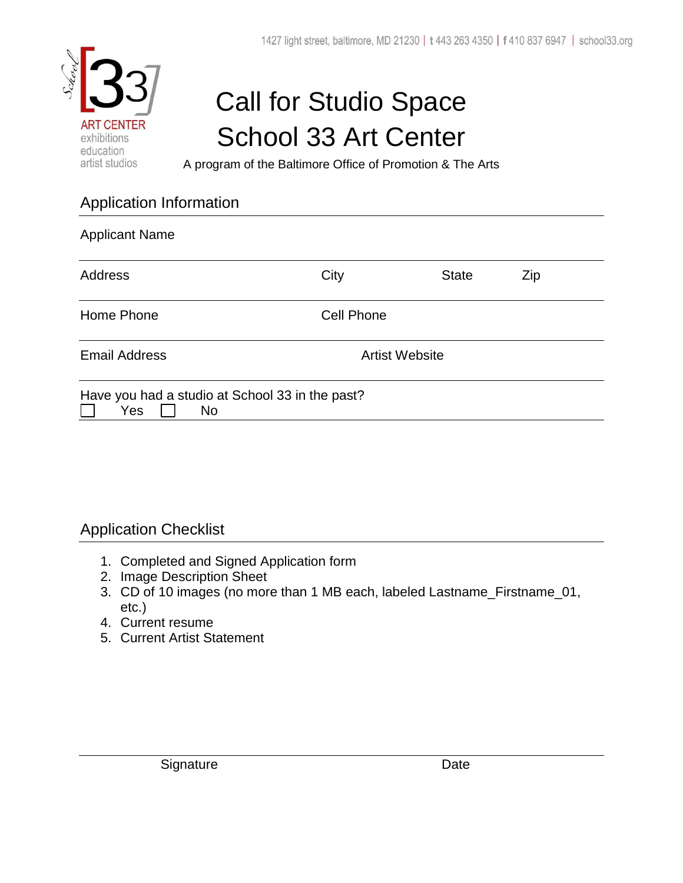

## Call for Studio Space School 33 Art Center

A program of the Baltimore Office of Promotion & The Arts

### Application Information

| <b>Applicant Name</b>                                               |                       |              |     |  |  |
|---------------------------------------------------------------------|-----------------------|--------------|-----|--|--|
| <b>Address</b>                                                      | City                  | <b>State</b> | Zip |  |  |
| Home Phone                                                          | Cell Phone            |              |     |  |  |
| <b>Email Address</b>                                                | <b>Artist Website</b> |              |     |  |  |
| Have you had a studio at School 33 in the past?<br>Yes<br><b>No</b> |                       |              |     |  |  |

#### Application Checklist

- 1. Completed and Signed Application form
- 2. Image Description Sheet
- 3. CD of 10 images (no more than 1 MB each, labeled Lastname\_Firstname\_01, etc.)
- 4. Current resume
- 5. Current Artist Statement